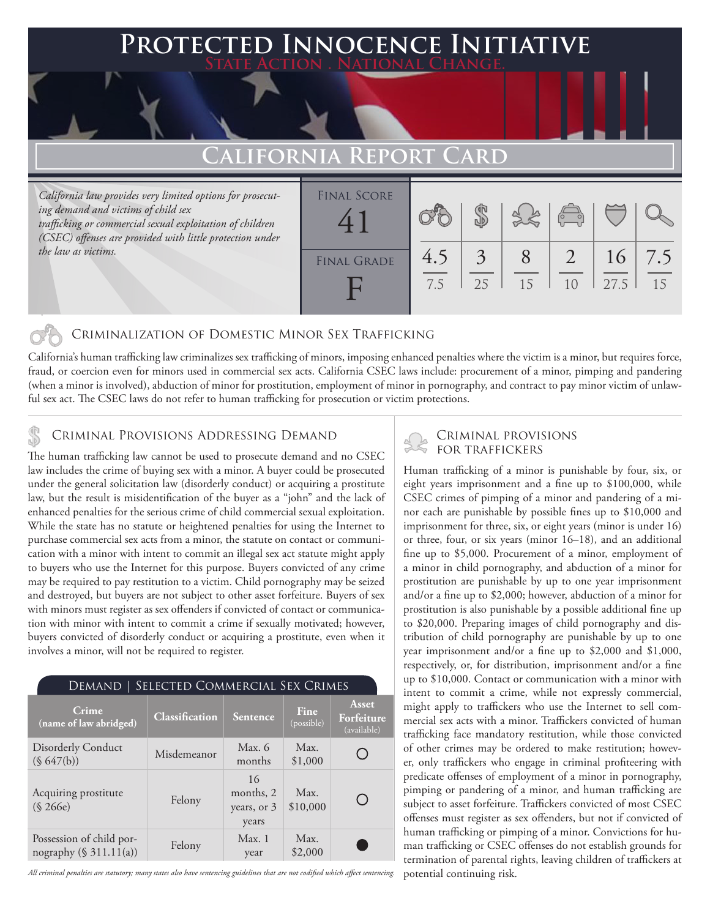### **PTED INNOCENCE INITIATIVE State Action . National Change.**

## **California Report Card**

*California law provides very limited options for prosecuting demand and victims of child sex trafficking or commercial sexual exploitation of children (CSEC) offenses are provided with little protection under the law as victims.*

| <b>FINAL SCORE</b><br>4 |     |    |    | $\sqrt{2}$    |      |     |
|-------------------------|-----|----|----|---------------|------|-----|
| <b>FINAL GRADE</b>      | 4.5 | 3  |    | $\mathcal{L}$ | 16   | 7.5 |
|                         | 7.5 | 25 | 15 | 10            | 27.5 | 15  |

### Criminalization of Domestic Minor Sex Trafficking

California's human trafficking law criminalizes sex trafficking of minors, imposing enhanced penalties where the victim is a minor, but requires force, fraud, or coercion even for minors used in commercial sex acts. California CSEC laws include: procurement of a minor, pimping and pandering (when a minor is involved), abduction of minor for prostitution, employment of minor in pornography, and contract to pay minor victim of unlawful sex act. The CSEC laws do not refer to human trafficking for prosecution or victim protections.

### CRIMINAL PROVISIONS ADDRESSING DEMAND

The human trafficking law cannot be used to prosecute demand and no CSEC law includes the crime of buying sex with a minor. A buyer could be prosecuted under the general solicitation law (disorderly conduct) or acquiring a prostitute law, but the result is misidentification of the buyer as a "john" and the lack of enhanced penalties for the serious crime of child commercial sexual exploitation. While the state has no statute or heightened penalties for using the Internet to purchase commercial sex acts from a minor, the statute on contact or communication with a minor with intent to commit an illegal sex act statute might apply to buyers who use the Internet for this purpose. Buyers convicted of any crime may be required to pay restitution to a victim. Child pornography may be seized and destroyed, but buyers are not subject to other asset forfeiture. Buyers of sex with minors must register as sex offenders if convicted of contact or communication with minor with intent to commit a crime if sexually motivated; however, buyers convicted of disorderly conduct or acquiring a prostitute, even when it involves a minor, will not be required to register.

| Crime<br>(name of law abridged)                       | Classification | Sentence                                | Fine<br>(possible) | Asset<br>Forfeiture<br>(available) |
|-------------------------------------------------------|----------------|-----------------------------------------|--------------------|------------------------------------|
| <b>Disorderly Conduct</b><br>$(S\ 647(b))$            | Misdemeanor    | Max. $6$<br>months                      | Max.<br>\$1,000    |                                    |
| Acquiring prostitute<br>(S 266e)                      | Felony         | 16<br>months, 2<br>years, or 3<br>years | Max.<br>\$10,000   |                                    |
| Possession of child por-<br>nography $(\S 311.11(a))$ | Felony         | Max.1<br>year                           | Max.<br>\$2,000    |                                    |

*All criminal penalties are statutory; many states also have sentencing guidelines that are not codified which affect sentencing.* 

# Criminal provisions

Human trafficking of a minor is punishable by four, six, or eight years imprisonment and a fine up to \$100,000, while CSEC crimes of pimping of a minor and pandering of a minor each are punishable by possible fines up to \$10,000 and imprisonment for three, six, or eight years (minor is under 16) or three, four, or six years (minor 16–18), and an additional fine up to \$5,000. Procurement of a minor, employment of a minor in child pornography, and abduction of a minor for prostitution are punishable by up to one year imprisonment and/or a fine up to \$2,000; however, abduction of a minor for prostitution is also punishable by a possible additional fine up to \$20,000. Preparing images of child pornography and distribution of child pornography are punishable by up to one year imprisonment and/or a fine up to \$2,000 and \$1,000, respectively, or, for distribution, imprisonment and/or a fine up to \$10,000. Contact or communication with a minor with intent to commit a crime, while not expressly commercial, might apply to traffickers who use the Internet to sell commercial sex acts with a minor. Traffickers convicted of human trafficking face mandatory restitution, while those convicted of other crimes may be ordered to make restitution; however, only traffickers who engage in criminal profiteering with predicate offenses of employment of a minor in pornography, pimping or pandering of a minor, and human trafficking are subject to asset forfeiture. Traffickers convicted of most CSEC offenses must register as sex offenders, but not if convicted of human trafficking or pimping of a minor. Convictions for human trafficking or CSEC offenses do not establish grounds for termination of parental rights, leaving children of traffickers at potential continuing risk.